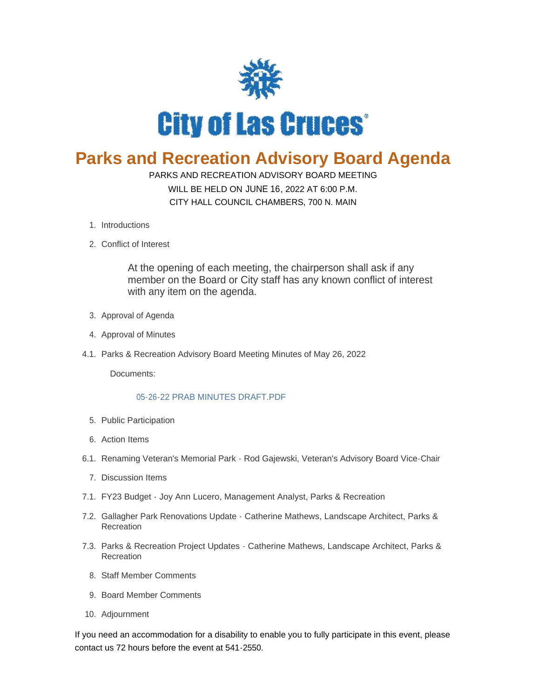

## **Parks and Recreation Advisory Board Agenda**

## PARKS AND RECREATION ADVISORY BOARD MEETING

WILL BE HELD ON JUNE 16, 2022 AT 6:00 P.M. CITY HALL COUNCIL CHAMBERS, 700 N. MAIN

- 1. Introductions
- 2. Conflict of Interest

At the opening of each meeting, the chairperson shall ask if any member on the Board or City staff has any known conflict of interest with any item on the agenda.

- 3. Approval of Agenda
- 4. Approval of Minutes
- 4.1. Parks & Recreation Advisory Board Meeting Minutes of May 26, 2022

Documents:

## [05-26-22 PRAB MINUTES DRAFT.PDF](https://www.las-cruces.org/AgendaCenter/ViewFile/Item/9572?fileID=15582)

- 5. Public Participation
- Action Items 6.
- 6.1. Renaming Veteran's Memorial Park Rod Gajewski, Veteran's Advisory Board Vice-Chair
	- 7. Discussion Items
- FY23 Budget Joy Ann Lucero, Management Analyst, Parks & Recreation 7.1.
- 7.2. Gallagher Park Renovations Update Catherine Mathews, Landscape Architect, Parks & Recreation
- 7.3. Parks & Recreation Project Updates Catherine Mathews, Landscape Architect, Parks & Recreation
	- 8. Staff Member Comments
	- 9. Board Member Comments
- 10. Adjournment

If you need an accommodation for a disability to enable you to fully participate in this event, please contact us 72 hours before the event at 541-2550.